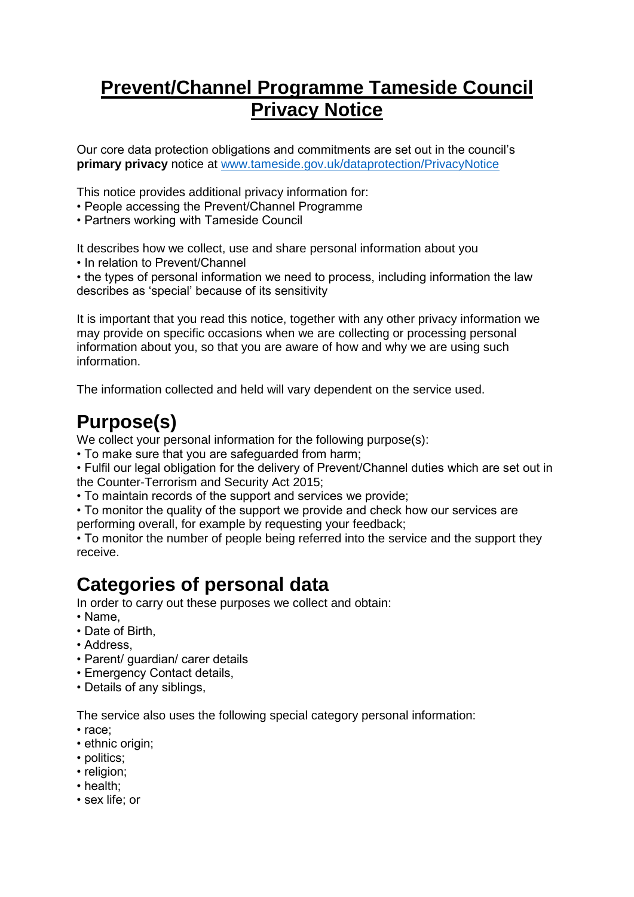## **Prevent/Channel Programme Tameside Council Privacy Notice**

Our core data protection obligations and commitments are set out in the council's **primary privacy** notice at [www.tameside.gov.uk/dataprotection/PrivacyNotice](http://www.tameside.gov.uk/dataprotection/PrivacyNotice)

This notice provides additional privacy information for:

- People accessing the Prevent/Channel Programme
- Partners working with Tameside Council

It describes how we collect, use and share personal information about you

• In relation to Prevent/Channel

• the types of personal information we need to process, including information the law describes as 'special' because of its sensitivity

It is important that you read this notice, together with any other privacy information we may provide on specific occasions when we are collecting or processing personal information about you, so that you are aware of how and why we are using such information.

The information collected and held will vary dependent on the service used.

## **Purpose(s)**

We collect your personal information for the following purpose(s):

• To make sure that you are safeguarded from harm;

• Fulfil our legal obligation for the delivery of Prevent/Channel duties which are set out in the Counter-Terrorism and Security Act 2015;

• To maintain records of the support and services we provide;

• To monitor the quality of the support we provide and check how our services are

performing overall, for example by requesting your feedback;

• To monitor the number of people being referred into the service and the support they receive.

#### **Categories of personal data**

In order to carry out these purposes we collect and obtain:

- Name,
- Date of Birth,
- Address,
- Parent/ guardian/ carer details
- Emergency Contact details,
- Details of any siblings,

The service also uses the following special category personal information:

- race;
- ethnic origin:
- politics;
- religion;
- health;
- sex life; or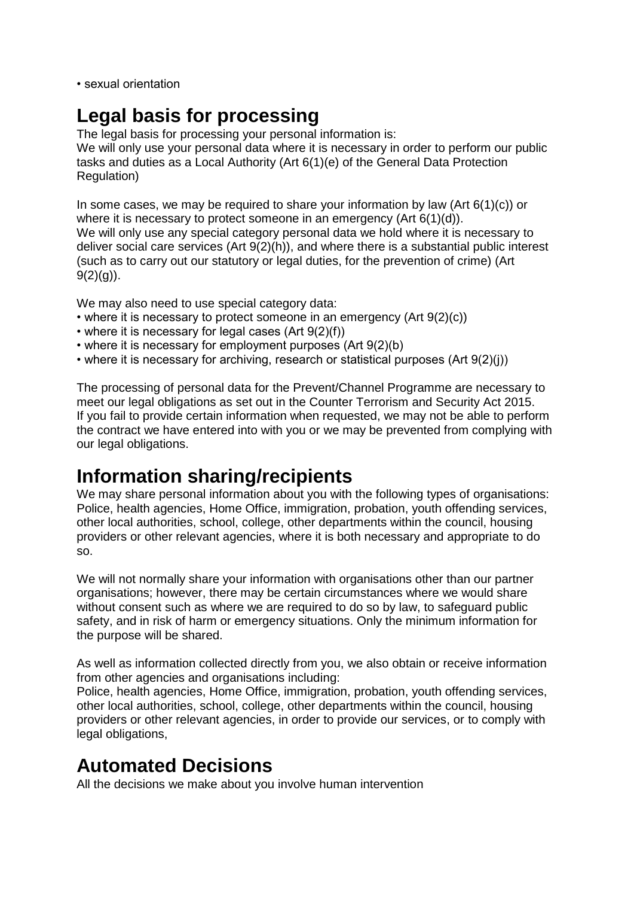• sexual orientation

### **Legal basis for processing**

The legal basis for processing your personal information is: We will only use your personal data where it is necessary in order to perform our public tasks and duties as a Local Authority (Art 6(1)(e) of the General Data Protection Regulation)

In some cases, we may be required to share your information by law (Art  $6(1)(c)$ ) or where it is necessary to protect someone in an emergency (Art 6(1)(d)). We will only use any special category personal data we hold where it is necessary to deliver social care services (Art 9(2)(h)), and where there is a substantial public interest (such as to carry out our statutory or legal duties, for the prevention of crime) (Art  $9(2)(q)$ ).

We may also need to use special category data:

- where it is necessary to protect someone in an emergency (Art 9(2)(c))
- where it is necessary for legal cases (Art 9(2)(f))
- where it is necessary for employment purposes (Art 9(2)(b)
- where it is necessary for archiving, research or statistical purposes (Art 9(2)(j))

The processing of personal data for the Prevent/Channel Programme are necessary to meet our legal obligations as set out in the Counter Terrorism and Security Act 2015. If you fail to provide certain information when requested, we may not be able to perform the contract we have entered into with you or we may be prevented from complying with our legal obligations.

### **Information sharing/recipients**

We may share personal information about you with the following types of organisations: Police, health agencies, Home Office, immigration, probation, youth offending services, other local authorities, school, college, other departments within the council, housing providers or other relevant agencies, where it is both necessary and appropriate to do so.

We will not normally share your information with organisations other than our partner organisations; however, there may be certain circumstances where we would share without consent such as where we are required to do so by law, to safeguard public safety, and in risk of harm or emergency situations. Only the minimum information for the purpose will be shared.

As well as information collected directly from you, we also obtain or receive information from other agencies and organisations including:

Police, health agencies, Home Office, immigration, probation, youth offending services, other local authorities, school, college, other departments within the council, housing providers or other relevant agencies, in order to provide our services, or to comply with legal obligations,

### **Automated Decisions**

All the decisions we make about you involve human intervention